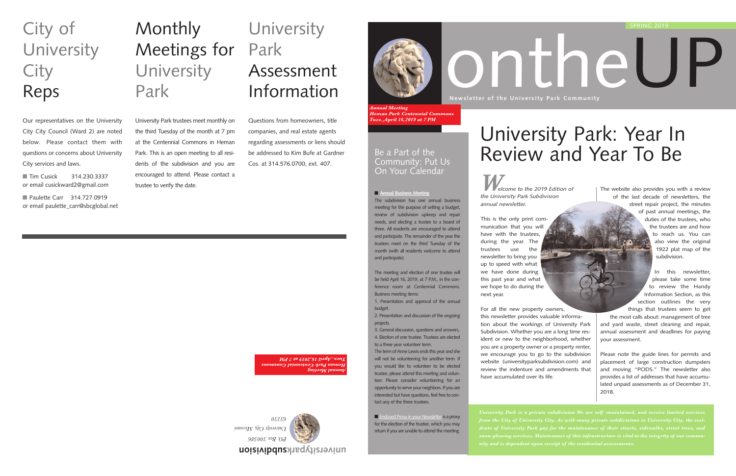*Welcome to the 2019 Edition of the University Park Subdivision annual newsletter.* 

This is the only print communication that you will have with the trustees, during the year. The trustees use the newsletter to bring you up to speed with what we have done during this past year and what we hope to do during the next year.

For all the new property owners, this newsletter provides valuable information about the workings of University Park Subdivision. Whether you are a long time resident or new to the neighborhood, whether you are a property owner or a property renter, we encourage you to go to the subdivision website (universityparksubdivision.com) and review the indenture and amendments that have accumulated over its life.

# ontheUP **Newsletter of the University Park Community** SPRING 2019

# **Monthly** Meetings for **University** Park

The website also provides you with a review of the last decade of newsletters, the street repair project, the minutes of past annual meetings, the duties of the trustees, who the trustees are and how to reach us. You can also view the original 1922 plat map of the subdivision.

■ Tim Cusick 314.230.3337 or email cusickward2@gmail.com

■ Paulette Carr 314.727.0919 or email paulette\_carr@sbcglobal.net

## **University** Park Assessment Information

In this newsletter,

please take some time to review the Handy Information Section, as this section outlines the very things that trustees seem to get the most calls about: management of tree and yard waste, street cleaning and repair, annual assessment and deadlines for paying your assessment.

Please note the guide lines for permits and placement of large construction dumpsters and moving "PODS." The newsletter also provides a list of addresses that have accumulated unpaid assessments as of December 31, 2018.

**subdivision universitypark**



*University City, Missouri* 

■ Enclosed Proxy in your Newsletter is a proxy for the election of the trustee, which you may return if you are unable to attend the meeting.

# University Park: Year In  $B$ e a Part of the  $B$  Review and Year To Be

University Park trustees meet monthly on the third Tuesday of the month at 7 pm at the Centennial Commons in Heman Park. This is an open meeting to all residents of the subdivision and you are encouraged to attend. Please contact a trustee to verify the date.

# City of **University City** Reps

Our representatives on the University City City Council (Ward 2) are noted below. Please contact them with questions or concerns about University City services and laws.

Questions from homeowners, title companies, and real estate agents regarding assessments or liens should be addressed to Kim Bufe at Gardner Cos. at 314.576.0700, ext. 407.

> ■ **Annual Business Meeting** The subdivision has one annual business meeting for the purpose of setting a budget, review of subdivision upkeep and repair needs, and electing a trustee to a board of three. All residents are encouraged to attend and participate. The remainder of the year the trustees meet on the third Tuesday of the month (with all residents welcome to attend and participate).

> The meeting and election of one trustee will be held April 16, 2019, at 7 P.M., in the conference room at Centennial Commons. Business meeting items:

> 1. Presentation and approval of the annual budget.

2. Presentation and discussion of the ongoing projects.

3. General discussion, questions and answers, 4. Election of one trustee. Trustees are elected to a three year volunteer term.

The term of Anne Lewis ends this year and she will not be volunteering for another term. If you would like to volunteer to be elected trustee, please attend this meeting and volunteer. Please consider volunteering for an opportunity to serve your neighbors. If you are interested but have questions, feel free to contact any of the three trustees.

*Annual Meeting Heman Park Centennial Commons Tues.,April 16,2019 at 7 PM*



### Community: Put Us On Your Calendar